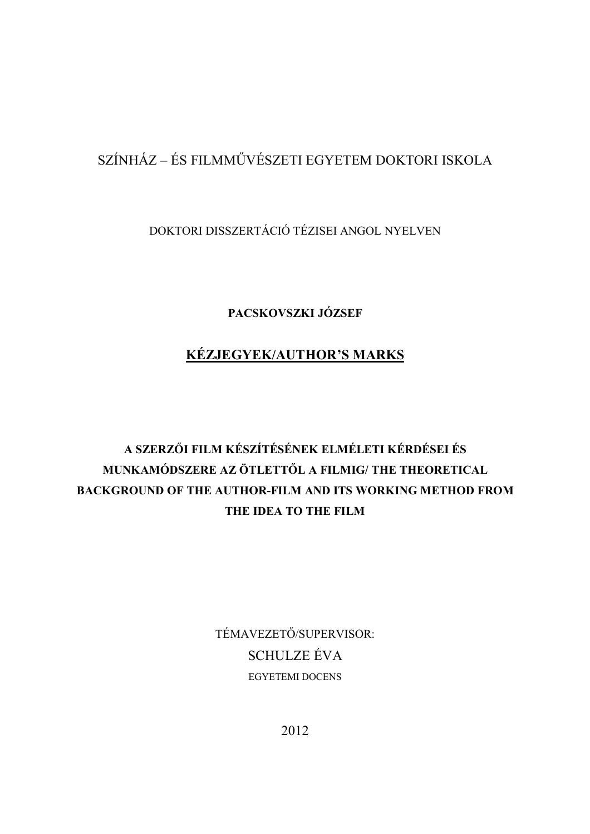## SZÍNHÁZ – ÉS FILMMŰVÉSZETI EGYETEM DOKTORI ISKOLA

DOKTORI DISSZERTÁCIÓ TÉZISEI ANGOL NYELVEN

**PACSKOVSZKI JÓZSEF**

## **KÉZJEGYEK/AUTHOR'S MARKS**

## **A SZERZŐI FILM KÉSZÍTÉSÉNEK ELMÉLETI KÉRDÉSEI ÉS MUNKAMÓDSZERE AZ ÖTLETTŐL A FILMIG/ THE THEORETICAL BACKGROUND OF THE AUTHOR-FILM AND ITS WORKING METHOD FROM THE IDEA TO THE FILM**

TÉMAVEZETŐ/SUPERVISOR: SCHULZE ÉVA EGYETEMI DOCENS

2012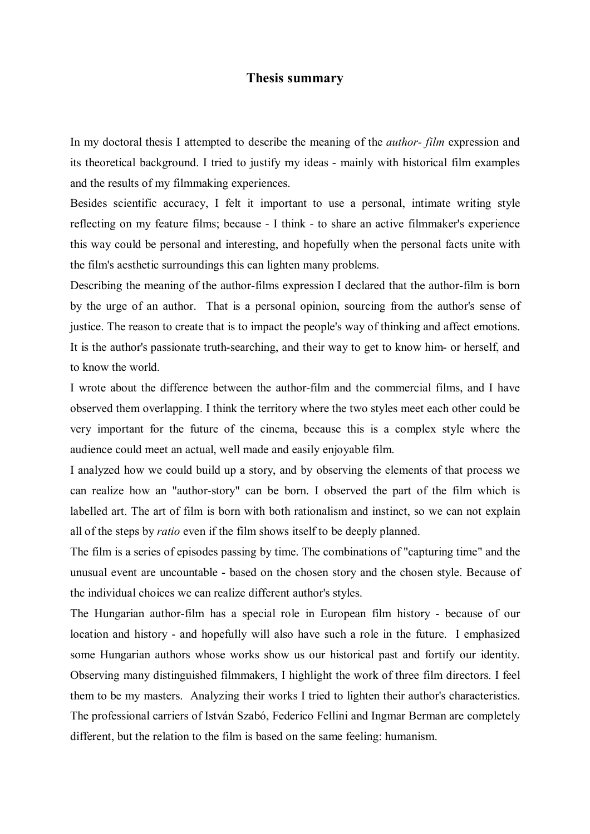## **Thesis summary**

In my doctoral thesis I attempted to describe the meaning of the *author- film* expression and its theoretical background. I tried to justify my ideas - mainly with historical film examples and the results of my filmmaking experiences.

Besides scientific accuracy, I felt it important to use a personal, intimate writing style reflecting on my feature films; because - I think - to share an active filmmaker's experience this way could be personal and interesting, and hopefully when the personal facts unite with the film's aesthetic surroundings this can lighten many problems.

Describing the meaning of the author-films expression I declared that the author-film is born by the urge of an author. That is a personal opinion, sourcing from the author's sense of justice. The reason to create that is to impact the people's way of thinking and affect emotions. It is the author's passionate truth-searching, and their way to get to know him- or herself, and to know the world.

I wrote about the difference between the author-film and the commercial films, and I have observed them overlapping. I think the territory where the two styles meet each other could be very important for the future of the cinema, because this is a complex style where the audience could meet an actual, well made and easily enjoyable film.

I analyzed how we could build up a story, and by observing the elements of that process we can realize how an "author-story" can be born. I observed the part of the film which is labelled art. The art of film is born with both rationalism and instinct, so we can not explain all of the steps by *ratio* even if the film shows itself to be deeply planned.

The film is a series of episodes passing by time. The combinations of "capturing time" and the unusual event are uncountable - based on the chosen story and the chosen style. Because of the individual choices we can realize different author's styles.

The Hungarian author-film has a special role in European film history - because of our location and history - and hopefully will also have such a role in the future. I emphasized some Hungarian authors whose works show us our historical past and fortify our identity. Observing many distinguished filmmakers, I highlight the work of three film directors. I feel them to be my masters. Analyzing their works I tried to lighten their author's characteristics. The professional carriers of István Szabó, Federico Fellini and Ingmar Berman are completely different, but the relation to the film is based on the same feeling: humanism.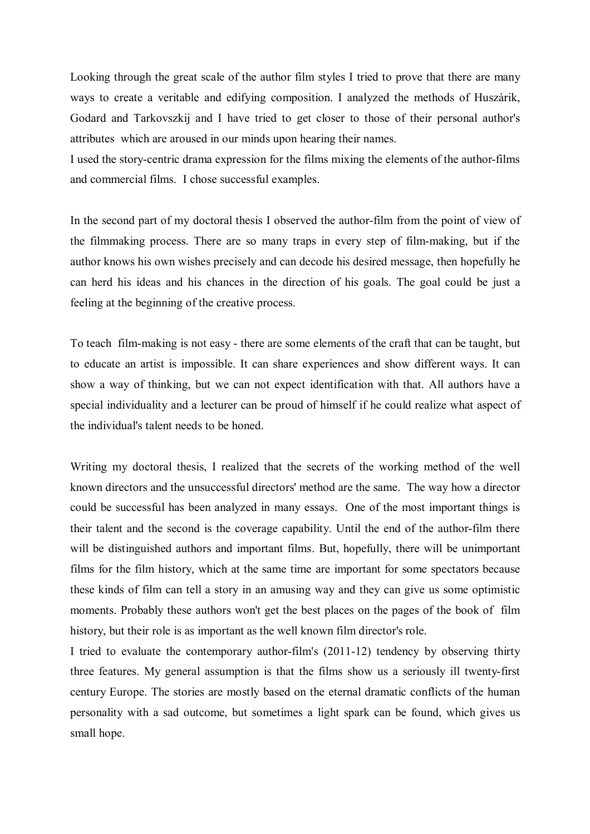Looking through the great scale of the author film styles I tried to prove that there are many ways to create a veritable and edifying composition. I analyzed the methods of Huszárik, Godard and Tarkovszkij and I have tried to get closer to those of their personal author's attributes which are aroused in our minds upon hearing their names.

I used the story-centric drama expression for the films mixing the elements of the author-films and commercial films. I chose successful examples.

In the second part of my doctoral thesis I observed the author-film from the point of view of the filmmaking process. There are so many traps in every step of film-making, but if the author knows his own wishes precisely and can decode his desired message, then hopefully he can herd his ideas and his chances in the direction of his goals. The goal could be just a feeling at the beginning of the creative process.

To teach film-making is not easy - there are some elements of the craft that can be taught, but to educate an artist is impossible. It can share experiences and show different ways. It can show a way of thinking, but we can not expect identification with that. All authors have a special individuality and a lecturer can be proud of himself if he could realize what aspect of the individual's talent needs to be honed.

Writing my doctoral thesis, I realized that the secrets of the working method of the well known directors and the unsuccessful directors' method are the same. The way how a director could be successful has been analyzed in many essays. One of the most important things is their talent and the second is the coverage capability. Until the end of the author-film there will be distinguished authors and important films. But, hopefully, there will be unimportant films for the film history, which at the same time are important for some spectators because these kinds of film can tell a story in an amusing way and they can give us some optimistic moments. Probably these authors won't get the best places on the pages of the book of film history, but their role is as important as the well known film director's role.

I tried to evaluate the contemporary author-film's (2011-12) tendency by observing thirty three features. My general assumption is that the films show us a seriously ill twenty-first century Europe. The stories are mostly based on the eternal dramatic conflicts of the human personality with a sad outcome, but sometimes a light spark can be found, which gives us small hope.